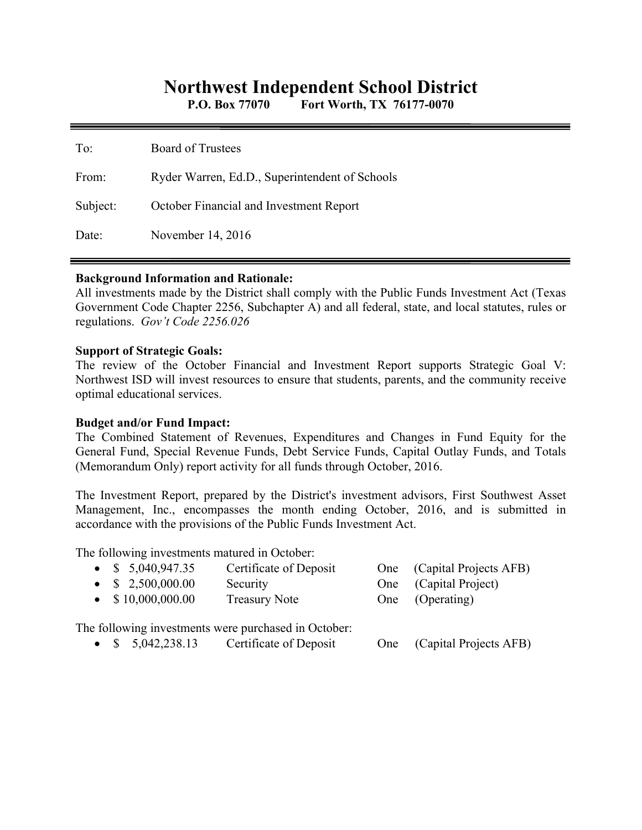# **Northwest Independent School District**

**P.O. Box 77070 Fort Worth, TX 76177-0070** 

| To:      | <b>Board of Trustees</b>                       |
|----------|------------------------------------------------|
| From:    | Ryder Warren, Ed.D., Superintendent of Schools |
| Subject: | October Financial and Investment Report        |
| Date:    | November 14, 2016                              |

### **Background Information and Rationale:**

All investments made by the District shall comply with the Public Funds Investment Act (Texas Government Code Chapter 2256, Subchapter A) and all federal, state, and local statutes, rules or regulations. *Gov't Code 2256.026* 

#### **Support of Strategic Goals:**

The review of the October Financial and Investment Report supports Strategic Goal V: Northwest ISD will invest resources to ensure that students, parents, and the community receive optimal educational services.

### **Budget and/or Fund Impact:**

The Combined Statement of Revenues, Expenditures and Changes in Fund Equity for the General Fund, Special Revenue Funds, Debt Service Funds, Capital Outlay Funds, and Totals (Memorandum Only) report activity for all funds through October, 2016.

The Investment Report, prepared by the District's investment advisors, First Southwest Asset Management, Inc., encompasses the month ending October, 2016, and is submitted in accordance with the provisions of the Public Funds Investment Act.

The following investments matured in October:

| • $$5,040,947.35$                                                                                                                                                                                                                                                                                                              | Certificate of Deposit                               | One (Capital Projects AFB)                                                                         |
|--------------------------------------------------------------------------------------------------------------------------------------------------------------------------------------------------------------------------------------------------------------------------------------------------------------------------------|------------------------------------------------------|----------------------------------------------------------------------------------------------------|
| • $$2,500,000.00$                                                                                                                                                                                                                                                                                                              | Security                                             | One (Capital Project)                                                                              |
| $\bullet$ \$10,000,000.00                                                                                                                                                                                                                                                                                                      | <b>Treasury Note</b>                                 | One (Operating)                                                                                    |
|                                                                                                                                                                                                                                                                                                                                | The following investments were purchased in October: |                                                                                                    |
| $\mathcal{L}$ $\mathbb{R}$ $\mathbb{R}$ 0.40.00.10 $\mathbb{R}$ $\mathbb{R}$ $\mathbb{R}$ $\mathbb{R}$ $\mathbb{R}$ $\mathbb{R}$ $\mathbb{R}$ $\mathbb{R}$ $\mathbb{R}$ $\mathbb{R}$ $\mathbb{R}$ $\mathbb{R}$ $\mathbb{R}$ $\mathbb{R}$ $\mathbb{R}$ $\mathbb{R}$ $\mathbb{R}$ $\mathbb{R}$ $\mathbb{R}$ $\mathbb{R}$ $\math$ |                                                      | $Q_{\text{max}} = (Q_{\text{max}} + 1) \mathbf{D}_{\text{max}} + \mathbf{A} \mathbf{E} \mathbf{D}$ |

\$ 5,042,238.13 Certificate of Deposit One (Capital Projects AFB)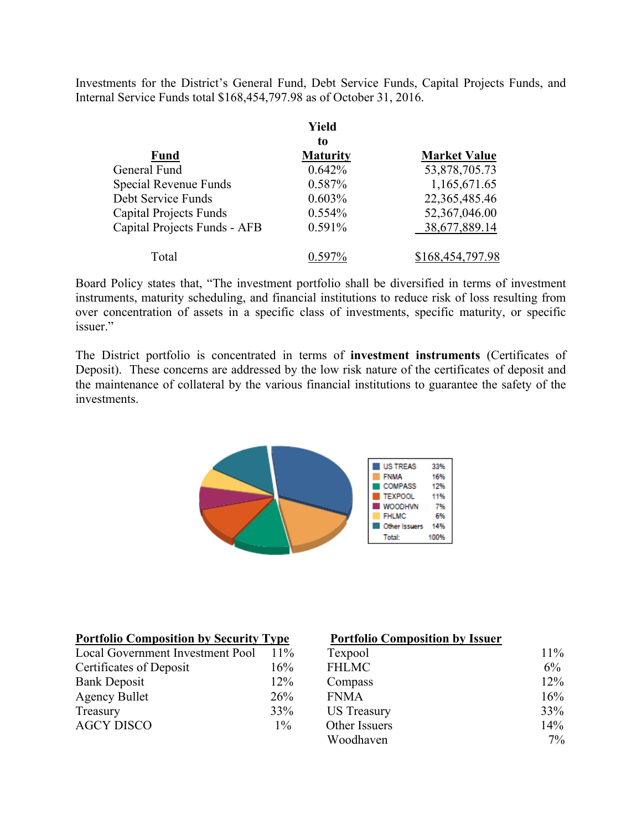Investments for the District's General Fund, Debt Service Funds, Capital Projects Funds, and Internal Service Funds total \$168,454,797.98 as of October 31, 2016.

|                               | Yield           |                     |
|-------------------------------|-----------------|---------------------|
|                               | to              |                     |
| <b>Fund</b>                   | <b>Maturity</b> | <b>Market Value</b> |
| General Fund                  | 0.642%          | 53,878,705.73       |
| Special Revenue Funds         | 0.587%          | 1,165,671.65        |
| Debt Service Funds            | 0.603%          | 22,365,485.46       |
| <b>Capital Projects Funds</b> | 0.554%          | 52,367,046.00       |
| Capital Projects Funds - AFB  | 0.591%          | 38,677,889.14       |
| Total                         |                 | \$168,454,797.98    |

Board Policy states that, "The investment portfolio shall be diversified in terms of investment instruments, maturity scheduling, and financial institutions to reduce risk of loss resulting from over concentration of assets in a specific class of investments, specific maturity, or specific issuer."

The District portfolio is concentrated in terms of **investment instruments** (Certificates of Deposit). These concerns are addressed by the low risk nature of the certificates of deposit and the maintenance of collateral by the various financial institutions to guarantee the safety of the investments.



| <b>Portfolio Composition by Security Type</b> | <b>Portfolio Composition by Issuer</b> |                    |        |
|-----------------------------------------------|----------------------------------------|--------------------|--------|
| Local Government Investment Pool              | $11\%$                                 | Texpool            | 11%    |
| Certificates of Deposit                       | 16%                                    | <b>FHLMC</b>       | 6%     |
| <b>Bank Deposit</b>                           | 12%                                    | Compass            | $12\%$ |
| <b>Agency Bullet</b>                          | 26%                                    | <b>FNMA</b>        | 16%    |
| Treasury                                      | 33%                                    | <b>US</b> Treasury | 33%    |
| <b>AGCY DISCO</b>                             | $1\%$                                  | Other Issuers      | 14%    |
|                                               |                                        | Woodhaven          | $7\%$  |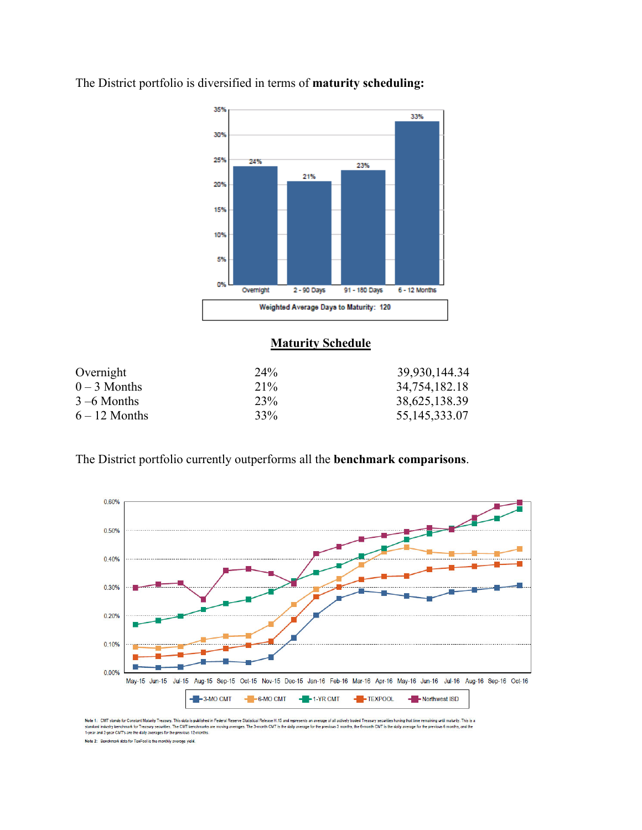

The District portfolio is diversified in terms of **maturity scheduling:** 

## **Maturity Schedule**

| Overnight       | 24 <sup>%</sup> | 39,930,144.34 |
|-----------------|-----------------|---------------|
| $0 - 3$ Months  | $21\%$          | 34,754,182.18 |
| $3 - 6$ Months  | 23%             | 38,625,138.39 |
| $6 - 12$ Months | 33%             | 55,145,333.07 |

The District portfolio currently outperforms all the **benchmark comparisons**.



Note 1: CMT stands for Constant Maturity Treasury. This data is published in Federal Reserve Statistical Release H.15 and represents an average of all actively baded Treasury securities having that lime remaining until mat .<br>Sents an average of all actively traded Treasury securities having that time remaining until maturity. This is a

Note 2: Benchmark data for TexPool is the monthly average yield.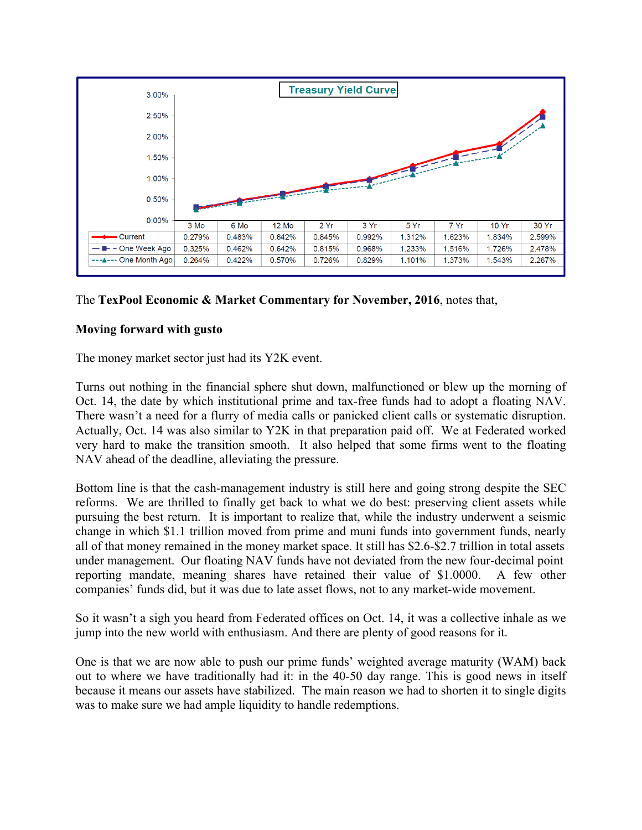

## The **TexPool Economic & Market Commentary for November, 2016**, notes that,

## **Moving forward with gusto**

The money market sector just had its Y2K event.

Turns out nothing in the financial sphere shut down, malfunctioned or blew up the morning of Oct. 14, the date by which institutional prime and tax-free funds had to adopt a floating NAV. There wasn't a need for a flurry of media calls or panicked client calls or systematic disruption. Actually, Oct. 14 was also similar to Y2K in that preparation paid off. We at Federated worked very hard to make the transition smooth. It also helped that some firms went to the floating NAV ahead of the deadline, alleviating the pressure.

Bottom line is that the cash-management industry is still here and going strong despite the SEC reforms. We are thrilled to finally get back to what we do best: preserving client assets while pursuing the best return. It is important to realize that, while the industry underwent a seismic change in which \$1.1 trillion moved from prime and muni funds into government funds, nearly all of that money remained in the money market space. It still has \$2.6-\$2.7 trillion in total assets under management. Our floating NAV funds have not deviated from the new four-decimal point reporting mandate, meaning shares have retained their value of \$1.0000. A few other companies' funds did, but it was due to late asset flows, not to any market-wide movement.

So it wasn't a sigh you heard from Federated offices on Oct. 14, it was a collective inhale as we jump into the new world with enthusiasm. And there are plenty of good reasons for it.

One is that we are now able to push our prime funds' weighted average maturity (WAM) back out to where we have traditionally had it: in the 40-50 day range. This is good news in itself because it means our assets have stabilized. The main reason we had to shorten it to single digits was to make sure we had ample liquidity to handle redemptions.